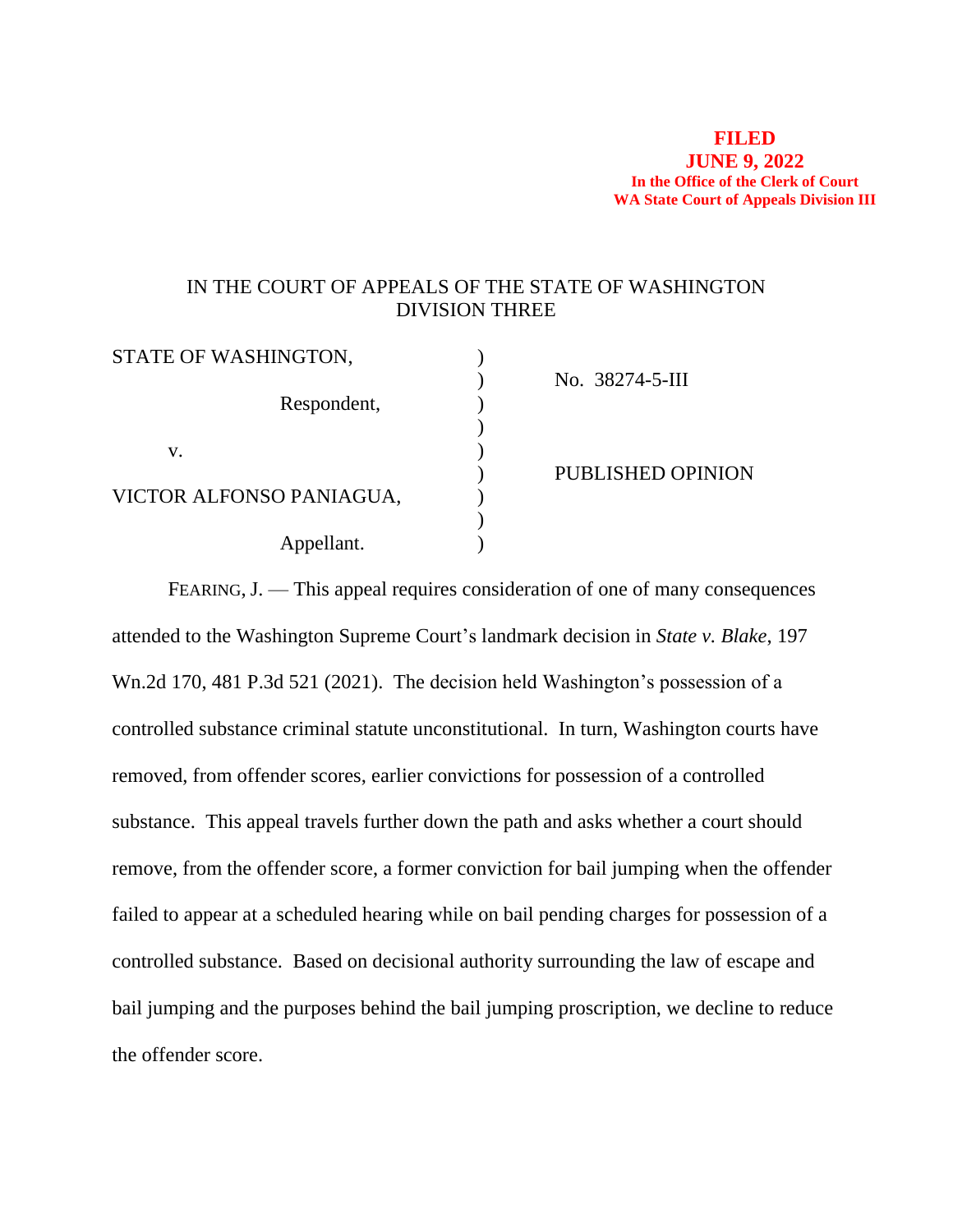### **FILED JUNE 9, 2022 In the Office of the Clerk of Court WA State Court of Appeals Division III**

# IN THE COURT OF APPEALS OF THE STATE OF WASHINGTON DIVISION THREE

| STATE OF WASHINGTON,     |                   |
|--------------------------|-------------------|
|                          | No. 38274-5-III   |
| Respondent,              |                   |
|                          |                   |
| V.                       |                   |
|                          | PUBLISHED OPINION |
| VICTOR ALFONSO PANIAGUA, |                   |
|                          |                   |
| Appellant.               |                   |
|                          |                   |

FEARING, J. — This appeal requires consideration of one of many consequences attended to the Washington Supreme Court's landmark decision in *State v. Blake*, 197 Wn.2d 170, 481 P.3d 521 (2021). The decision held Washington's possession of a controlled substance criminal statute unconstitutional. In turn, Washington courts have removed, from offender scores, earlier convictions for possession of a controlled substance. This appeal travels further down the path and asks whether a court should remove, from the offender score, a former conviction for bail jumping when the offender failed to appear at a scheduled hearing while on bail pending charges for possession of a controlled substance. Based on decisional authority surrounding the law of escape and bail jumping and the purposes behind the bail jumping proscription, we decline to reduce the offender score.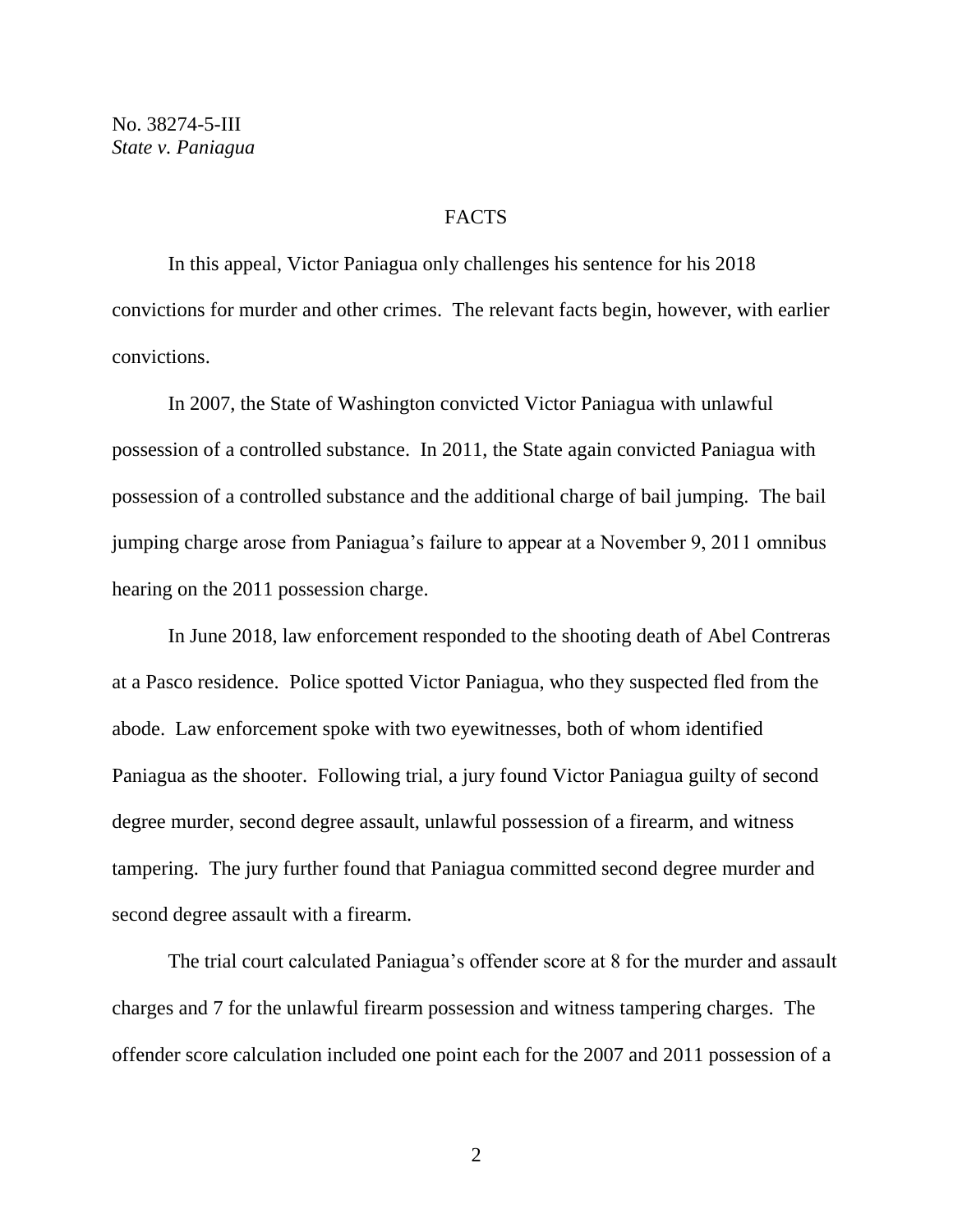### **FACTS**

In this appeal, Victor Paniagua only challenges his sentence for his 2018 convictions for murder and other crimes. The relevant facts begin, however, with earlier convictions.

In 2007, the State of Washington convicted Victor Paniagua with unlawful possession of a controlled substance. In 2011, the State again convicted Paniagua with possession of a controlled substance and the additional charge of bail jumping. The bail jumping charge arose from Paniagua's failure to appear at a November 9, 2011 omnibus hearing on the 2011 possession charge.

In June 2018, law enforcement responded to the shooting death of Abel Contreras at a Pasco residence. Police spotted Victor Paniagua, who they suspected fled from the abode. Law enforcement spoke with two eyewitnesses, both of whom identified Paniagua as the shooter. Following trial, a jury found Victor Paniagua guilty of second degree murder, second degree assault, unlawful possession of a firearm, and witness tampering. The jury further found that Paniagua committed second degree murder and second degree assault with a firearm.

The trial court calculated Paniagua's offender score at 8 for the murder and assault charges and 7 for the unlawful firearm possession and witness tampering charges. The offender score calculation included one point each for the 2007 and 2011 possession of a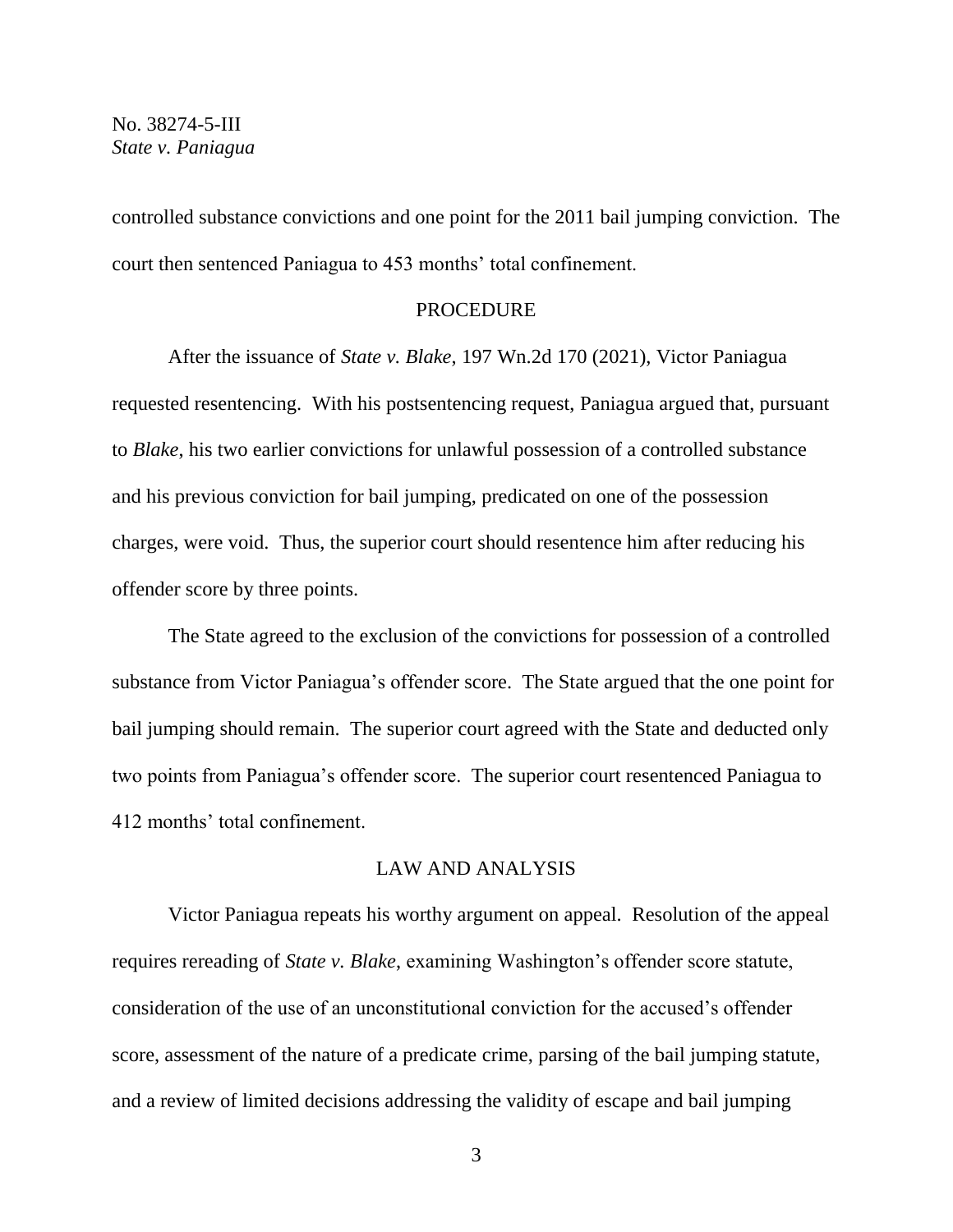controlled substance convictions and one point for the 2011 bail jumping conviction. The court then sentenced Paniagua to 453 months' total confinement.

#### PROCEDURE

After the issuance of *State v. Blake*, 197 Wn.2d 170 (2021), Victor Paniagua requested resentencing. With his postsentencing request, Paniagua argued that, pursuant to *Blake*, his two earlier convictions for unlawful possession of a controlled substance and his previous conviction for bail jumping, predicated on one of the possession charges, were void. Thus, the superior court should resentence him after reducing his offender score by three points.

The State agreed to the exclusion of the convictions for possession of a controlled substance from Victor Paniagua's offender score. The State argued that the one point for bail jumping should remain. The superior court agreed with the State and deducted only two points from Paniagua's offender score. The superior court resentenced Paniagua to 412 months' total confinement.

### LAW AND ANALYSIS

Victor Paniagua repeats his worthy argument on appeal. Resolution of the appeal requires rereading of *State v. Blake*, examining Washington's offender score statute, consideration of the use of an unconstitutional conviction for the accused's offender score, assessment of the nature of a predicate crime, parsing of the bail jumping statute, and a review of limited decisions addressing the validity of escape and bail jumping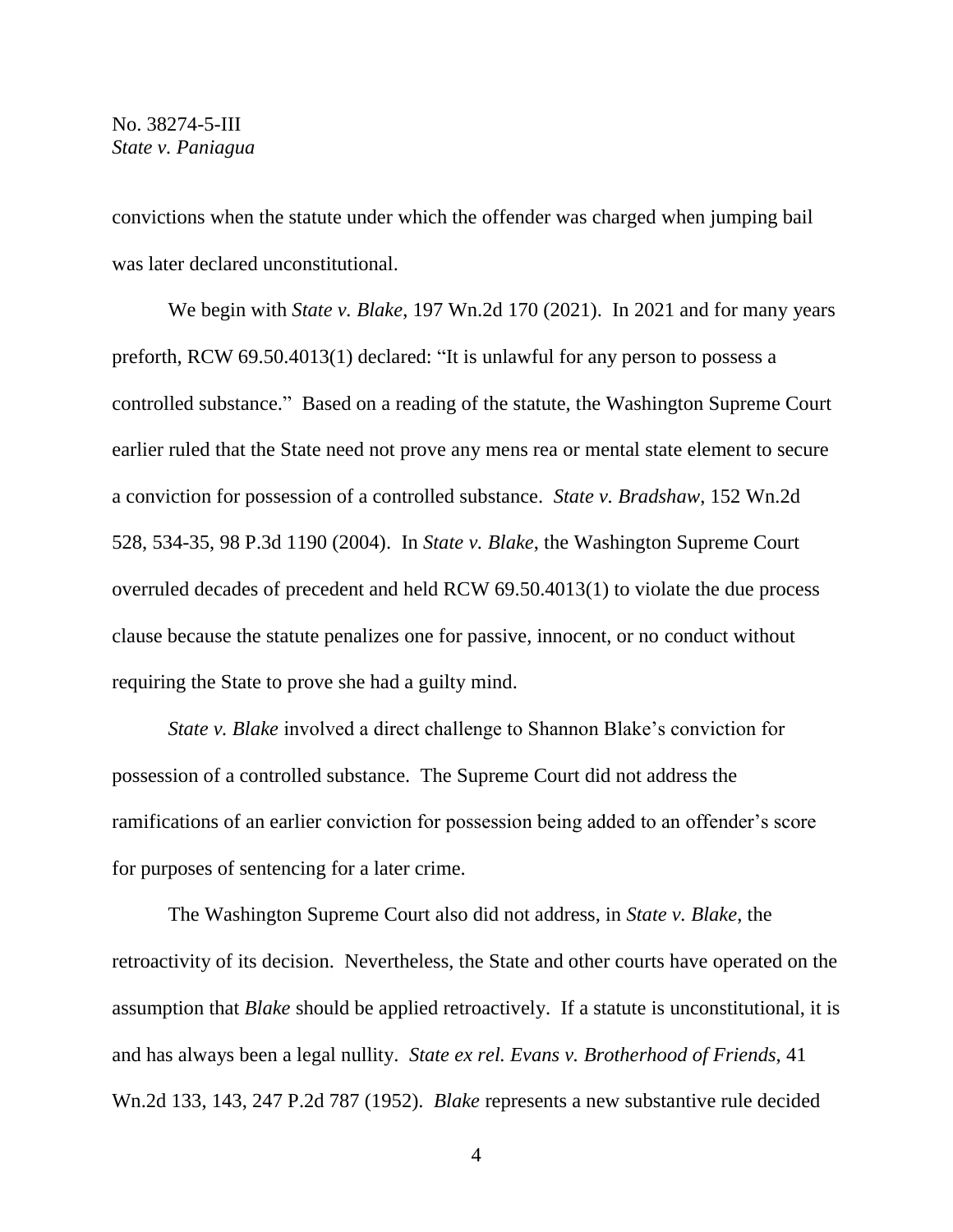convictions when the statute under which the offender was charged when jumping bail was later declared unconstitutional.

We begin with *State v. Blake*, 197 Wn.2d 170 (2021). In 2021 and for many years preforth, RCW 69.50.4013(1) declared: "It is unlawful for any person to possess a controlled substance." Based on a reading of the statute, the Washington Supreme Court earlier ruled that the State need not prove any mens rea or mental state element to secure a conviction for possession of a controlled substance. *State v. Bradshaw*, 152 Wn.2d 528, 534-35, 98 P.3d 1190 (2004). In *State v. Blake*, the Washington Supreme Court overruled decades of precedent and held RCW 69.50.4013(1) to violate the due process clause because the statute penalizes one for passive, innocent, or no conduct without requiring the State to prove she had a guilty mind.

*State v. Blake* involved a direct challenge to Shannon Blake's conviction for possession of a controlled substance. The Supreme Court did not address the ramifications of an earlier conviction for possession being added to an offender's score for purposes of sentencing for a later crime.

The Washington Supreme Court also did not address, in *State v. Blake*, the retroactivity of its decision. Nevertheless, the State and other courts have operated on the assumption that *Blake* should be applied retroactively. If a statute is unconstitutional, it is and has always been a legal nullity. *State ex rel. Evans v. Brotherhood of Friends*, 41 Wn.2d 133, 143, 247 P.2d 787 (1952). *Blake* represents a new substantive rule decided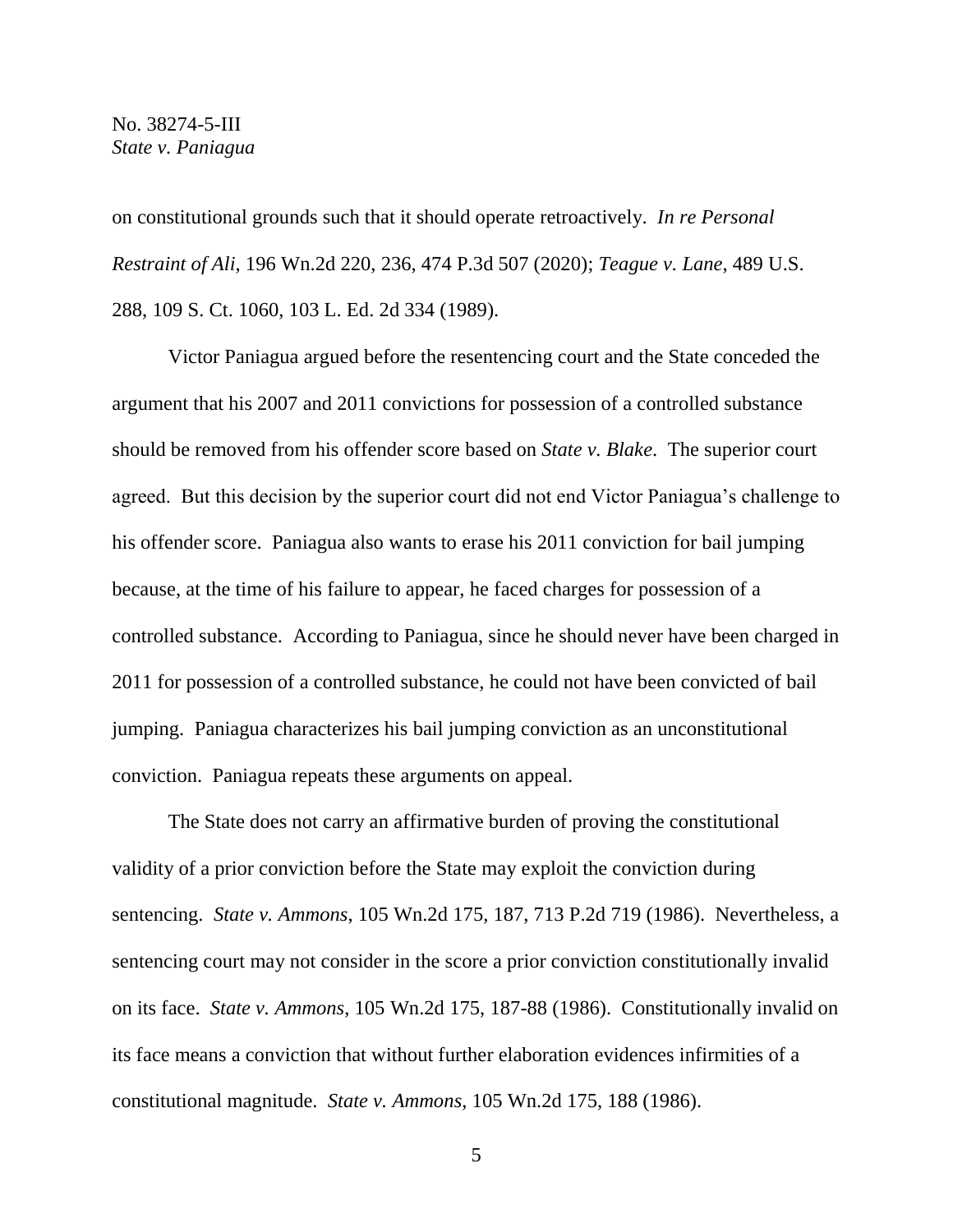on constitutional grounds such that it should operate retroactively. *In re Personal Restraint of Ali*, 196 Wn.2d 220, 236, 474 P.3d 507 (2020); *Teague v. Lane*, 489 U.S. 288, 109 S. Ct. 1060, 103 L. Ed. 2d 334 (1989).

Victor Paniagua argued before the resentencing court and the State conceded the argument that his 2007 and 2011 convictions for possession of a controlled substance should be removed from his offender score based on *State v. Blake*. The superior court agreed. But this decision by the superior court did not end Victor Paniagua's challenge to his offender score. Paniagua also wants to erase his 2011 conviction for bail jumping because, at the time of his failure to appear, he faced charges for possession of a controlled substance. According to Paniagua, since he should never have been charged in 2011 for possession of a controlled substance, he could not have been convicted of bail jumping. Paniagua characterizes his bail jumping conviction as an unconstitutional conviction. Paniagua repeats these arguments on appeal.

The State does not carry an affirmative burden of proving the constitutional validity of a prior conviction before the State may exploit the conviction during sentencing. *State v. Ammons*, 105 Wn.2d 175, 187, 713 P.2d 719 (1986). Nevertheless, a sentencing court may not consider in the score a prior conviction constitutionally invalid on its face. *State v. Ammons*, 105 Wn.2d 175, 187-88 (1986). Constitutionally invalid on its face means a conviction that without further elaboration evidences infirmities of a constitutional magnitude. *State v. Ammons*, 105 Wn.2d 175, 188 (1986).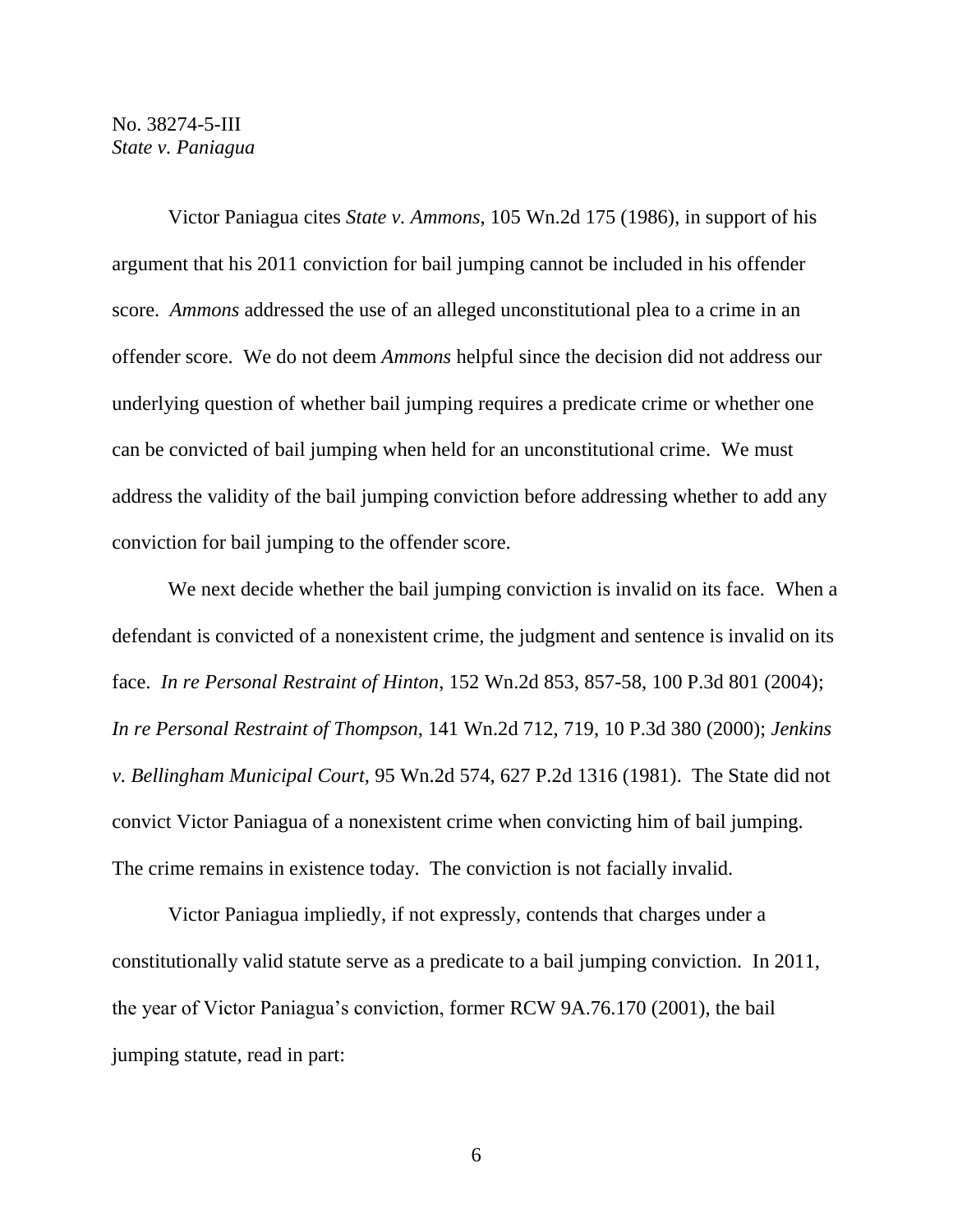Victor Paniagua cites *State v. Ammons*, 105 Wn.2d 175 (1986), in support of his argument that his 2011 conviction for bail jumping cannot be included in his offender score. *Ammons* addressed the use of an alleged unconstitutional plea to a crime in an offender score. We do not deem *Ammons* helpful since the decision did not address our underlying question of whether bail jumping requires a predicate crime or whether one can be convicted of bail jumping when held for an unconstitutional crime. We must address the validity of the bail jumping conviction before addressing whether to add any conviction for bail jumping to the offender score.

We next decide whether the bail jumping conviction is invalid on its face. When a defendant is convicted of a nonexistent crime, the judgment and sentence is invalid on its face. *In re Personal Restraint of Hinton*, 152 Wn.2d 853, 857-58, 100 P.3d 801 (2004); *In re Personal Restraint of Thompson*, 141 Wn.2d 712, 719, 10 P.3d 380 (2000); *Jenkins v. Bellingham Municipal Court*, 95 Wn.2d 574, 627 P.2d 1316 (1981). The State did not convict Victor Paniagua of a nonexistent crime when convicting him of bail jumping. The crime remains in existence today. The conviction is not facially invalid.

Victor Paniagua impliedly, if not expressly, contends that charges under a constitutionally valid statute serve as a predicate to a bail jumping conviction. In 2011, the year of Victor Paniagua's conviction, former RCW 9A.76.170 (2001), the bail jumping statute, read in part: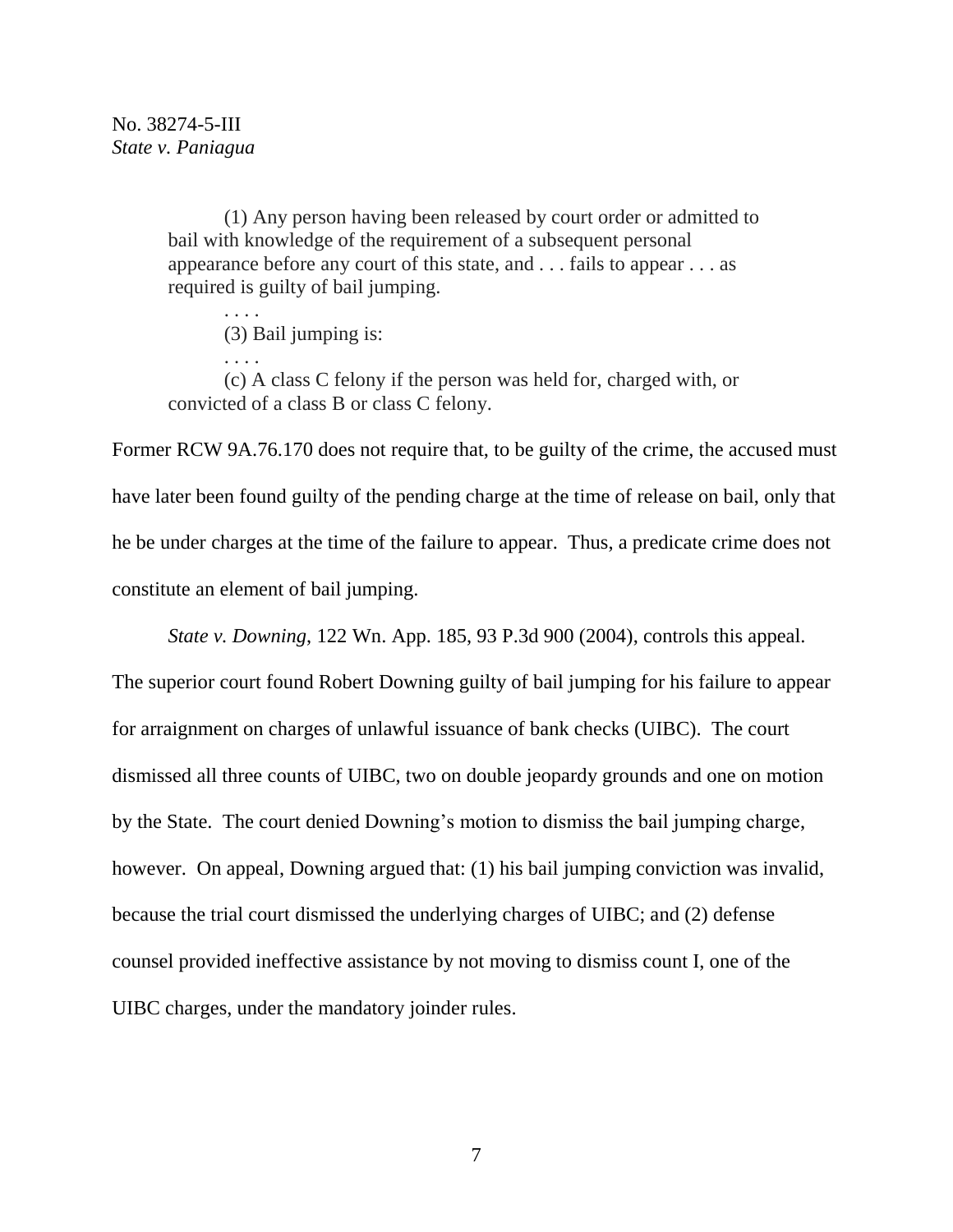(1) Any person having been released by court order or admitted to bail with knowledge of the requirement of a subsequent personal appearance before any court of this state, and . . . fails to appear . . . as required is guilty of bail jumping.

. . . . (3) Bail jumping is:

. . . . (c) A class C felony if the person was held for, charged with, or convicted of a class B or class C felony.

Former RCW 9A.76.170 does not require that, to be guilty of the crime, the accused must have later been found guilty of the pending charge at the time of release on bail, only that he be under charges at the time of the failure to appear. Thus, a predicate crime does not constitute an element of bail jumping.

*State v. Downing*, 122 Wn. App. 185, 93 P.3d 900 (2004), controls this appeal.

The superior court found Robert Downing guilty of bail jumping for his failure to appear for arraignment on charges of unlawful issuance of bank checks (UIBC). The court dismissed all three counts of UIBC, two on double jeopardy grounds and one on motion by the State. The court denied Downing's motion to dismiss the bail jumping charge, however. On appeal, Downing argued that: (1) his bail jumping conviction was invalid, because the trial court dismissed the underlying charges of UIBC; and (2) defense counsel provided ineffective assistance by not moving to dismiss count I, one of the UIBC charges, under the mandatory joinder rules.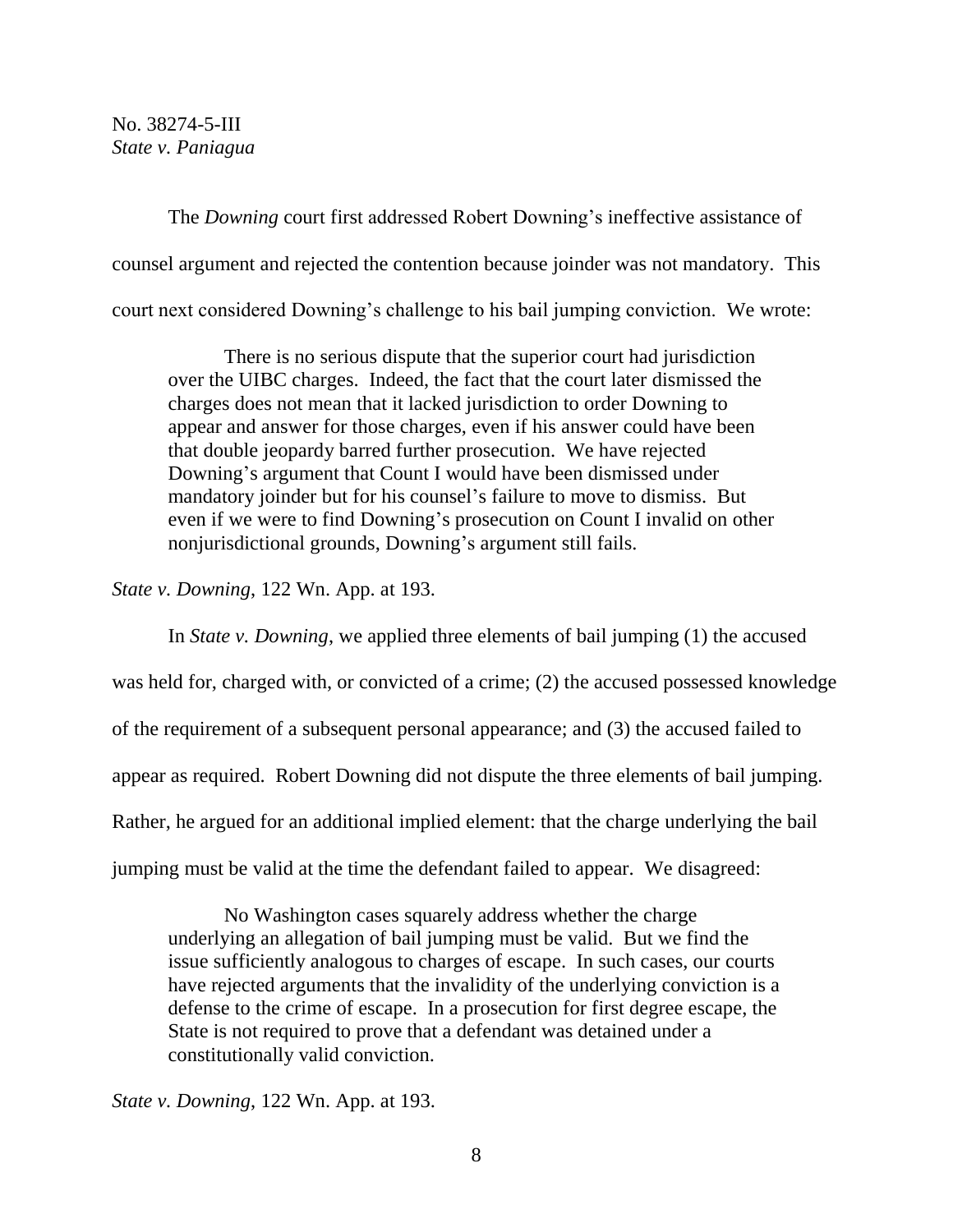The *Downing* court first addressed Robert Downing's ineffective assistance of counsel argument and rejected the contention because joinder was not mandatory. This court next considered Downing's challenge to his bail jumping conviction. We wrote:

There is no serious dispute that the superior court had jurisdiction over the UIBC charges. Indeed, the fact that the court later dismissed the charges does not mean that it lacked jurisdiction to order Downing to appear and answer for those charges, even if his answer could have been that double jeopardy barred further prosecution. We have rejected Downing's argument that Count I would have been dismissed under mandatory joinder but for his counsel's failure to move to dismiss. But even if we were to find Downing's prosecution on Count I invalid on other nonjurisdictional grounds, Downing's argument still fails.

*State v. Downing*, 122 Wn. App. at 193.

In *State v. Downing*, we applied three elements of bail jumping (1) the accused

was held for, charged with, or convicted of a crime; (2) the accused possessed knowledge of the requirement of a subsequent personal appearance; and (3) the accused failed to appear as required. Robert Downing did not dispute the three elements of bail jumping. Rather, he argued for an additional implied element: that the charge underlying the bail jumping must be valid at the time the defendant failed to appear. We disagreed:

No Washington cases squarely address whether the charge underlying an allegation of bail jumping must be valid. But we find the issue sufficiently analogous to charges of escape. In such cases, our courts have rejected arguments that the invalidity of the underlying conviction is a defense to the crime of escape. In a prosecution for first degree escape, the State is not required to prove that a defendant was detained under a constitutionally valid conviction.

*State v. Downing*, 122 Wn. App. at 193.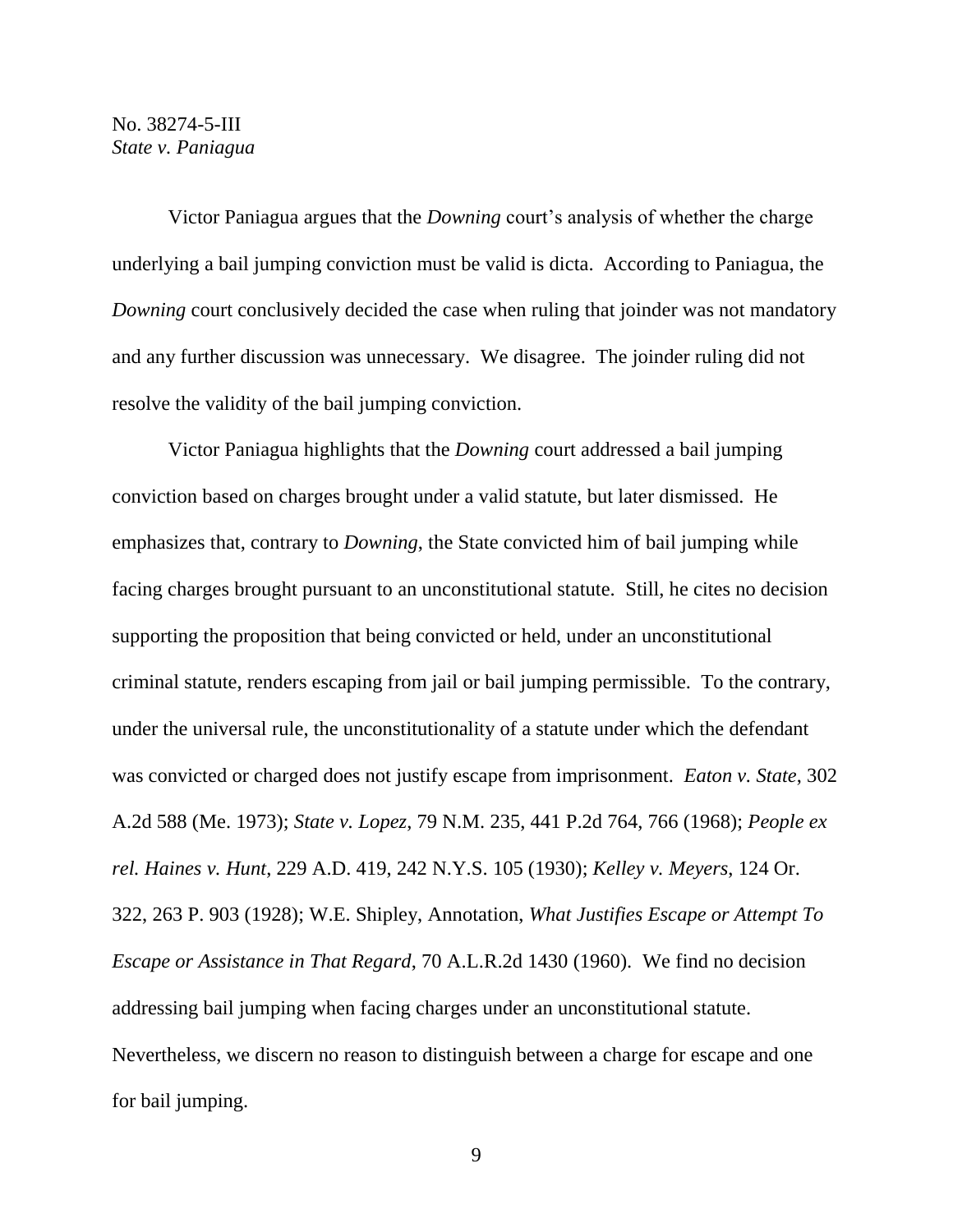Victor Paniagua argues that the *Downing* court's analysis of whether the charge underlying a bail jumping conviction must be valid is dicta. According to Paniagua, the *Downing* court conclusively decided the case when ruling that joinder was not mandatory and any further discussion was unnecessary. We disagree. The joinder ruling did not resolve the validity of the bail jumping conviction.

Victor Paniagua highlights that the *Downing* court addressed a bail jumping conviction based on charges brought under a valid statute, but later dismissed. He emphasizes that, contrary to *Downing*, the State convicted him of bail jumping while facing charges brought pursuant to an unconstitutional statute. Still, he cites no decision supporting the proposition that being convicted or held, under an unconstitutional criminal statute, renders escaping from jail or bail jumping permissible. To the contrary, under the universal rule, the unconstitutionality of a statute under which the defendant was convicted or charged does not justify escape from imprisonment. *Eaton v. State*, 302 A.2d 588 (Me. 1973); *State v. Lopez*, 79 N.M. 235, 441 P.2d 764, 766 (1968); *People ex rel. Haines v. Hunt*, 229 A.D. 419, 242 N.Y.S. 105 (1930); *Kelley v. Meyers*, 124 Or. 322, 263 P. 903 (1928); W.E. Shipley, Annotation, *What Justifies Escape or Attempt To Escape or Assistance in That Regard*, 70 A.L.R.2d 1430 (1960). We find no decision addressing bail jumping when facing charges under an unconstitutional statute. Nevertheless, we discern no reason to distinguish between a charge for escape and one for bail jumping.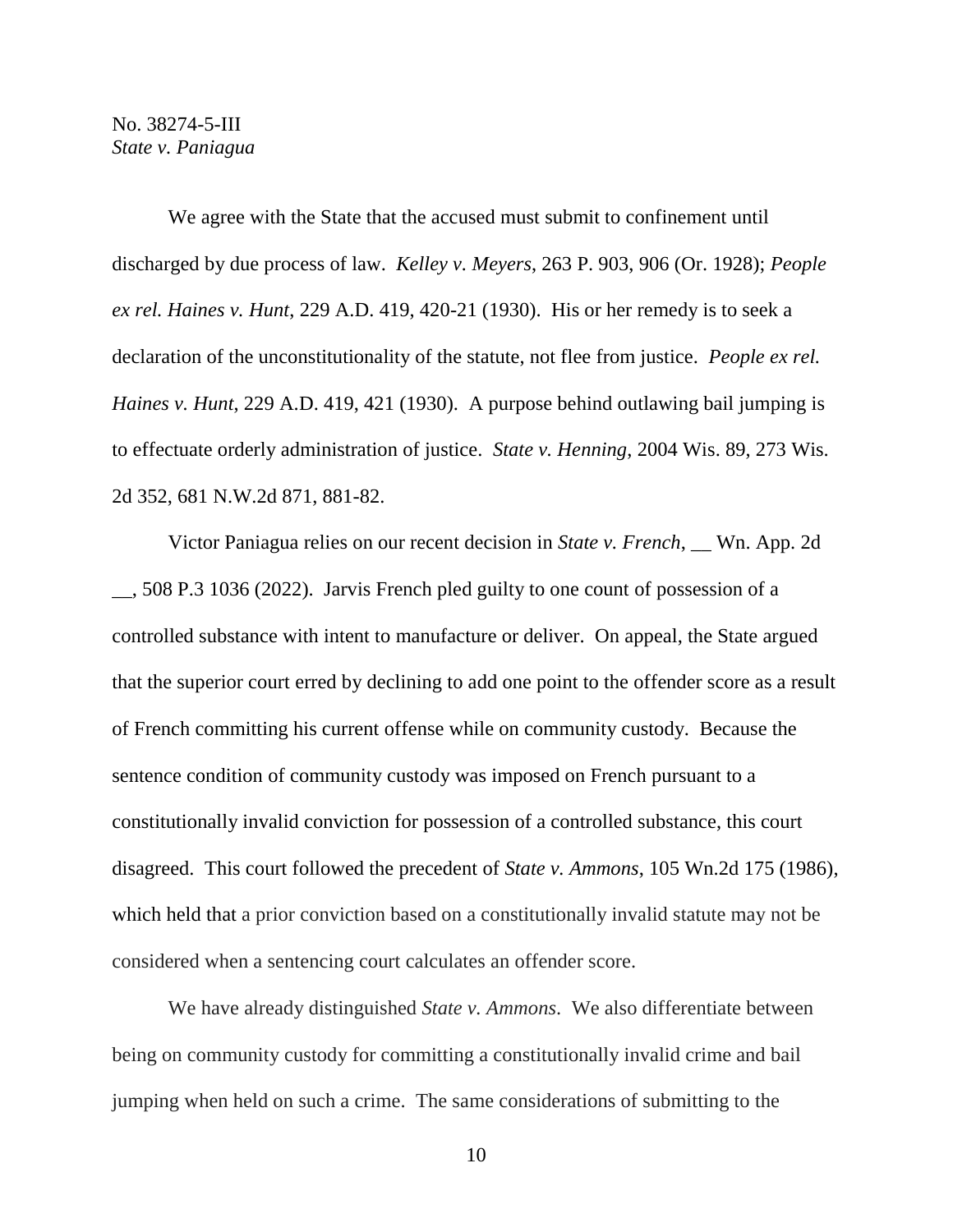We agree with the State that the accused must submit to confinement until discharged by due process of law. *Kelley v. Meyers*, 263 P. 903, 906 (Or. 1928); *People ex rel. Haines v. Hunt*, 229 A.D. 419, 420-21 (1930). His or her remedy is to seek a declaration of the unconstitutionality of the statute, not flee from justice. *People ex rel. Haines v. Hunt*, 229 A.D. 419, 421 (1930). A purpose behind outlawing bail jumping is to effectuate orderly administration of justice. *State v. Henning*, 2004 Wis. 89, 273 Wis. 2d 352, 681 N.W.2d 871, 881-82.

Victor Paniagua relies on our recent decision in *State v. French*, \_\_ Wn. App. 2d \_\_, 508 P.3 1036 (2022). Jarvis French pled guilty to one count of possession of a controlled substance with intent to manufacture or deliver. On appeal, the State argued that the superior court erred by declining to add one point to the offender score as a result of French committing his current offense while on community custody. Because the sentence condition of community custody was imposed on French pursuant to a constitutionally invalid conviction for possession of a controlled substance, this court disagreed. This court followed the precedent of *State v. Ammons*, 105 Wn.2d 175 (1986), which held that a prior conviction based on a constitutionally invalid statute may not be considered when a sentencing court calculates an offender score.

We have already distinguished *State v. Ammons*. We also differentiate between being on community custody for committing a constitutionally invalid crime and bail jumping when held on such a crime. The same considerations of submitting to the